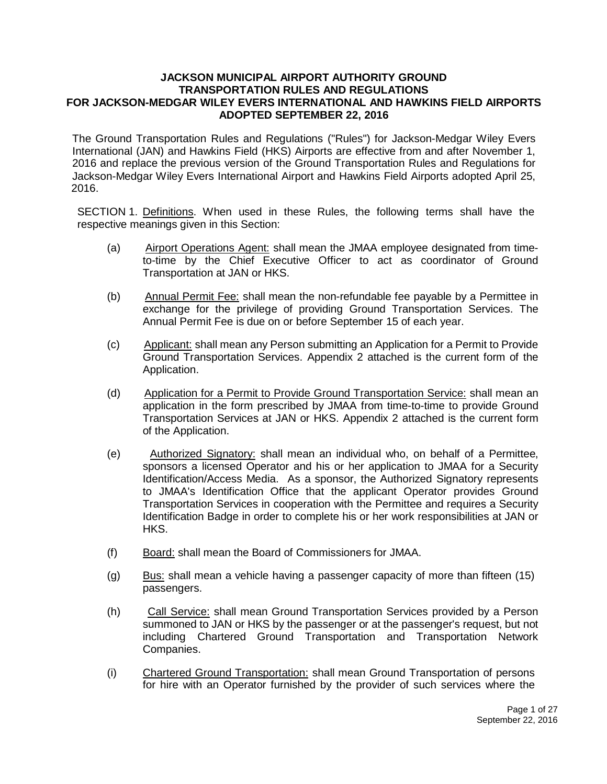#### **JACKSON MUNICIPAL AIRPORT AUTHORITY GROUND TRANSPORTATION RULES AND REGULATIONS FOR JACKSON-MEDGAR WILEY EVERS INTERNATIONAL AND HAWKINS FIELD AIRPORTS ADOPTED SEPTEMBER 22, 2016**

The Ground Transportation Rules and Regulations ("Rules") for Jackson-Medgar Wiley Evers International (JAN) and Hawkins Field (HKS) Airports are effective from and after November 1, 2016 and replace the previous version of the Ground Transportation Rules and Regulations for Jackson-Medgar Wiley Evers International Airport and Hawkins Field Airports adopted April 25, 2016.

SECTION 1. Definitions. When used in these Rules, the following terms shall have the respective meanings given in this Section:

- (a) Airport Operations Agent: shall mean the JMAA employee designated from timeto-time by the Chief Executive Officer to act as coordinator of Ground Transportation at JAN or HKS.
- (b) Annual Permit Fee: shall mean the non-refundable fee payable by a Permittee in exchange for the privilege of providing Ground Transportation Services. The Annual Permit Fee is due on or before September 15 of each year.
- (c) Applicant: shall mean any Person submitting an Application for a Permit to Provide Ground Transportation Services. Appendix 2 attached is the current form of the Application.
- (d) Application for a Permit to Provide Ground Transportation Service: shall mean an application in the form prescribed by JMAA from time-to-time to provide Ground Transportation Services at JAN or HKS. Appendix 2 attached is the current form of the Application.
- (e) Authorized Signatory: shall mean an individual who, on behalf of a Permittee, sponsors a licensed Operator and his or her application to JMAA for a Security Identification/Access Media. As a sponsor, the Authorized Signatory represents to JMAA's Identification Office that the applicant Operator provides Ground Transportation Services in cooperation with the Permittee and requires a Security Identification Badge in order to complete his or her work responsibilities at JAN or HKS.
- (f) Board: shall mean the Board of Commissioners for JMAA.
- (g) Bus: shall mean a vehicle having a passenger capacity of more than fifteen  $(15)$ passengers.
- (h) Call Service: shall mean Ground Transportation Services provided by a Person summoned to JAN or HKS by the passenger or at the passenger's request, but not including Chartered Ground Transportation and Transportation Network Companies.
- (i) Chartered Ground Transportation: shall mean Ground Transportation of persons for hire with an Operator furnished by the provider of such services where the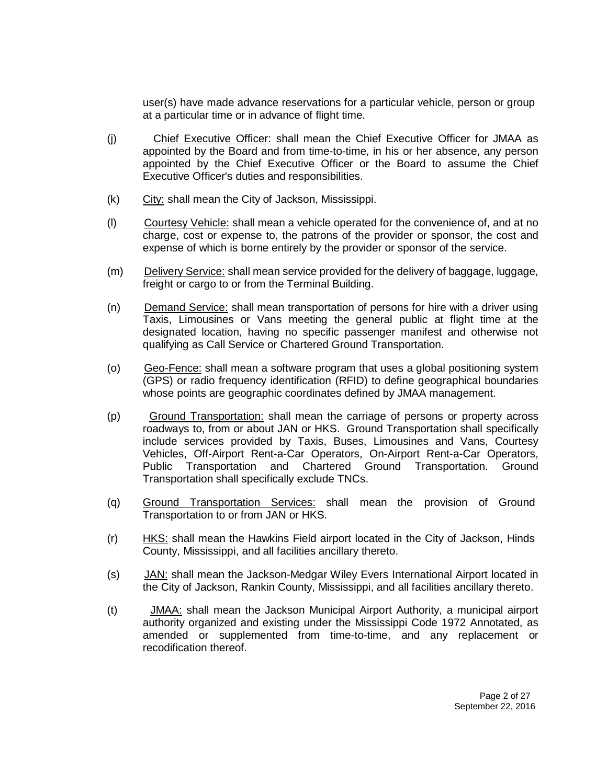user(s) have made advance reservations for a particular vehicle, person or group at a particular time or in advance of flight time.

- (j) Chief Executive Officer: shall mean the Chief Executive Officer for JMAA as appointed by the Board and from time-to-time, in his or her absence, any person appointed by the Chief Executive Officer or the Board to assume the Chief Executive Officer's duties and responsibilities.
- (k) City: shall mean the City of Jackson, Mississippi.
- (l) Courtesy Vehicle: shall mean a vehicle operated for the convenience of, and at no charge, cost or expense to, the patrons of the provider or sponsor, the cost and expense of which is borne entirely by the provider or sponsor of the service.
- (m) Delivery Service: shall mean service provided for the delivery of baggage, luggage, freight or cargo to or from the Terminal Building.
- (n) Demand Service: shall mean transportation of persons for hire with a driver using Taxis, Limousines or Vans meeting the general public at flight time at the designated location, having no specific passenger manifest and otherwise not qualifying as Call Service or Chartered Ground Transportation.
- (o) Geo-Fence: shall mean a software program that uses a global positioning system (GPS) or radio frequency identification (RFID) to define geographical boundaries whose points are geographic coordinates defined by JMAA management.
- (p) Ground Transportation: shall mean the carriage of persons or property across roadways to, from or about JAN or HKS. Ground Transportation shall specifically include services provided by Taxis, Buses, Limousines and Vans, Courtesy Vehicles, Off-Airport Rent-a-Car Operators, On-Airport Rent-a-Car Operators, Public Transportation and Chartered Ground Transportation. Ground Transportation shall specifically exclude TNCs.
- (q) Ground Transportation Services: shall mean the provision of Ground Transportation to or from JAN or HKS.
- $(r)$  HKS: shall mean the Hawkins Field airport located in the City of Jackson, Hinds County, Mississippi, and all facilities ancillary thereto.
- (s) JAN: shall mean the Jackson-Medgar Wiley Evers International Airport located in the City of Jackson, Rankin County, Mississippi, and all facilities ancillary thereto.
- (t) JMAA: shall mean the Jackson Municipal Airport Authority, a municipal airport authority organized and existing under the Mississippi Code 1972 Annotated, as amended or supplemented from time-to-time, and any replacement or recodification thereof.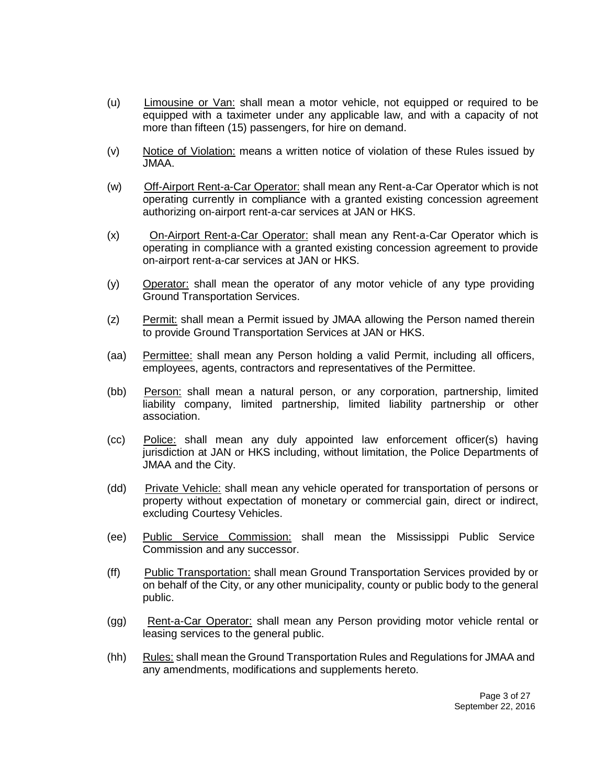- (u) Limousine or Van: shall mean a motor vehicle, not equipped or required to be equipped with a taximeter under any applicable law, and with a capacity of not more than fifteen (15) passengers, for hire on demand.
- (v) Notice of Violation: means a written notice of violation of these Rules issued by JMAA.
- (w) Off-Airport Rent-a-Car Operator: shall mean any Rent-a-Car Operator which is not operating currently in compliance with a granted existing concession agreement authorizing on-airport rent-a-car services at JAN or HKS.
- (x) On-Airport Rent-a-Car Operator: shall mean any Rent-a-Car Operator which is operating in compliance with a granted existing concession agreement to provide on-airport rent-a-car services at JAN or HKS.
- (y) Operator: shall mean the operator of any motor vehicle of any type providing Ground Transportation Services.
- (z) Permit: shall mean a Permit issued by JMAA allowing the Person named therein to provide Ground Transportation Services at JAN or HKS.
- (aa) Permittee: shall mean any Person holding a valid Permit, including all officers, employees, agents, contractors and representatives of the Permittee.
- (bb) Person: shall mean a natural person, or any corporation, partnership, limited liability company, limited partnership, limited liability partnership or other association.
- (cc) Police: shall mean any duly appointed law enforcement officer(s) having jurisdiction at JAN or HKS including, without limitation, the Police Departments of JMAA and the City.
- (dd) Private Vehicle: shall mean any vehicle operated for transportation of persons or property without expectation of monetary or commercial gain, direct or indirect, excluding Courtesy Vehicles.
- (ee) Public Service Commission: shall mean the Mississippi Public Service Commission and any successor.
- (ff) Public Transportation: shall mean Ground Transportation Services provided by or on behalf of the City, or any other municipality, county or public body to the general public.
- (gg) Rent-a-Car Operator: shall mean any Person providing motor vehicle rental or leasing services to the general public.
- (hh) Rules: shall mean the Ground Transportation Rules and Regulations for JMAA and any amendments, modifications and supplements hereto.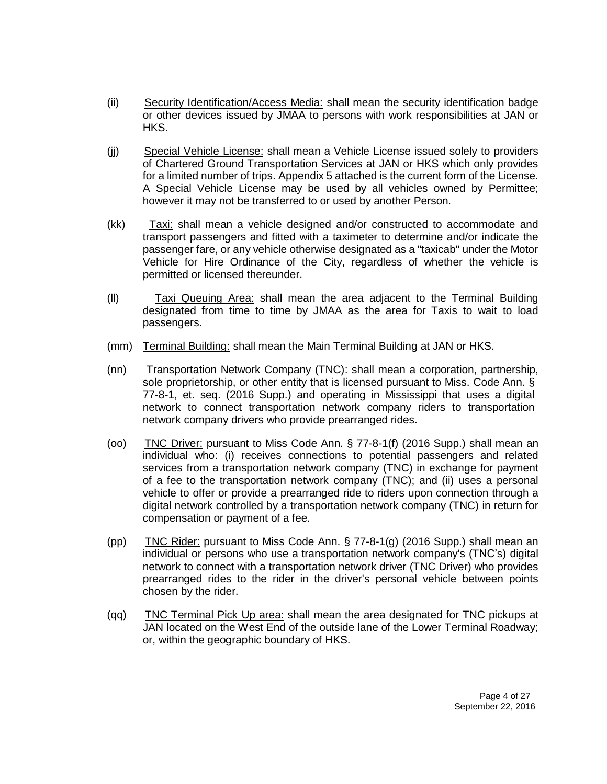- (ii) Security Identification/Access Media: shall mean the security identification badge or other devices issued by JMAA to persons with work responsibilities at JAN or HKS.
- (jj) Special Vehicle License: shall mean a Vehicle License issued solely to providers of Chartered Ground Transportation Services at JAN or HKS which only provides for a limited number of trips. Appendix 5 attached is the current form of the License. A Special Vehicle License may be used by all vehicles owned by Permittee; however it may not be transferred to or used by another Person.
- (kk) Taxi: shall mean a vehicle designed and/or constructed to accommodate and transport passengers and fitted with a taximeter to determine and/or indicate the passenger fare, or any vehicle otherwise designated as a "taxicab" under the Motor Vehicle for Hire Ordinance of the City, regardless of whether the vehicle is permitted or licensed thereunder.
- (ll) Taxi Queuing Area: shall mean the area adjacent to the Terminal Building designated from time to time by JMAA as the area for Taxis to wait to load passengers.
- (mm) Terminal Building: shall mean the Main Terminal Building at JAN or HKS.
- (nn) Transportation Network Company (TNC): shall mean a corporation, partnership, sole proprietorship, or other entity that is licensed pursuant to Miss. Code Ann. § 77-8-1, et. seq. (2016 Supp.) and operating in Mississippi that uses a digital network to connect transportation network company riders to transportation network company drivers who provide prearranged rides.
- (oo) TNC Driver: pursuant to Miss Code Ann. § 77-8-1(f) (2016 Supp.) shall mean an individual who: (i) receives connections to potential passengers and related services from a transportation network company (TNC) in exchange for payment of a fee to the transportation network company (TNC); and (ii) uses a personal vehicle to offer or provide a prearranged ride to riders upon connection through a digital network controlled by a transportation network company (TNC) in return for compensation or payment of a fee.
- (pp) TNC Rider: pursuant to Miss Code Ann.  $\S$  77-8-1(g) (2016 Supp.) shall mean an individual or persons who use a transportation network company's (TNC's) digital network to connect with a transportation network driver (TNC Driver) who provides prearranged rides to the rider in the driver's personal vehicle between points chosen by the rider.
- (qq) TNC Terminal Pick Up area: shall mean the area designated for TNC pickups at JAN located on the West End of the outside lane of the Lower Terminal Roadway; or, within the geographic boundary of HKS.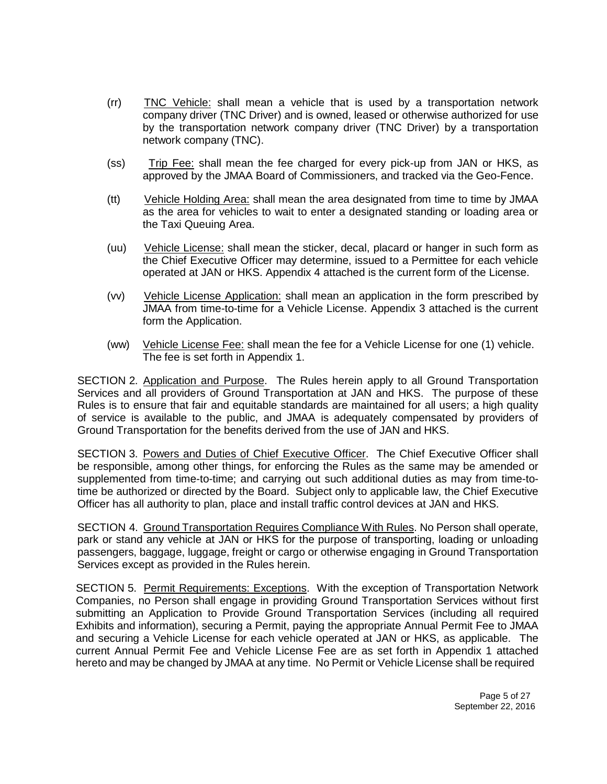- (rr) TNC Vehicle: shall mean a vehicle that is used by a transportation network company driver (TNC Driver) and is owned, leased or otherwise authorized for use by the transportation network company driver (TNC Driver) by a transportation network company (TNC).
- (ss) Trip Fee: shall mean the fee charged for every pick-up from JAN or HKS, as approved by the JMAA Board of Commissioners, and tracked via the Geo-Fence.
- (tt) Vehicle Holding Area: shall mean the area designated from time to time by JMAA as the area for vehicles to wait to enter a designated standing or loading area or the Taxi Queuing Area.
- (uu) Vehicle License: shall mean the sticker, decal, placard or hanger in such form as the Chief Executive Officer may determine, issued to a Permittee for each vehicle operated at JAN or HKS. Appendix 4 attached is the current form of the License.
- (vv) Vehicle License Application: shall mean an application in the form prescribed by JMAA from time-to-time for a Vehicle License. Appendix 3 attached is the current form the Application.
- (ww) Vehicle License Fee: shall mean the fee for a Vehicle License for one (1) vehicle. The fee is set forth in Appendix 1.

SECTION 2. Application and Purpose. The Rules herein apply to all Ground Transportation Services and all providers of Ground Transportation at JAN and HKS. The purpose of these Rules is to ensure that fair and equitable standards are maintained for all users; a high quality of service is available to the public, and JMAA is adequately compensated by providers of Ground Transportation for the benefits derived from the use of JAN and HKS.

SECTION 3. Powers and Duties of Chief Executive Officer. The Chief Executive Officer shall be responsible, among other things, for enforcing the Rules as the same may be amended or supplemented from time-to-time; and carrying out such additional duties as may from time-totime be authorized or directed by the Board. Subject only to applicable law, the Chief Executive Officer has all authority to plan, place and install traffic control devices at JAN and HKS.

SECTION 4. Ground Transportation Requires Compliance With Rules. No Person shall operate, park or stand any vehicle at JAN or HKS for the purpose of transporting, loading or unloading passengers, baggage, luggage, freight or cargo or otherwise engaging in Ground Transportation Services except as provided in the Rules herein.

SECTION 5. Permit Requirements: Exceptions. With the exception of Transportation Network Companies, no Person shall engage in providing Ground Transportation Services without first submitting an Application to Provide Ground Transportation Services (including all required Exhibits and information), securing a Permit, paying the appropriate Annual Permit Fee to JMAA and securing a Vehicle License for each vehicle operated at JAN or HKS, as applicable. The current Annual Permit Fee and Vehicle License Fee are as set forth in Appendix 1 attached hereto and may be changed by JMAA at any time. No Permit or Vehicle License shall be required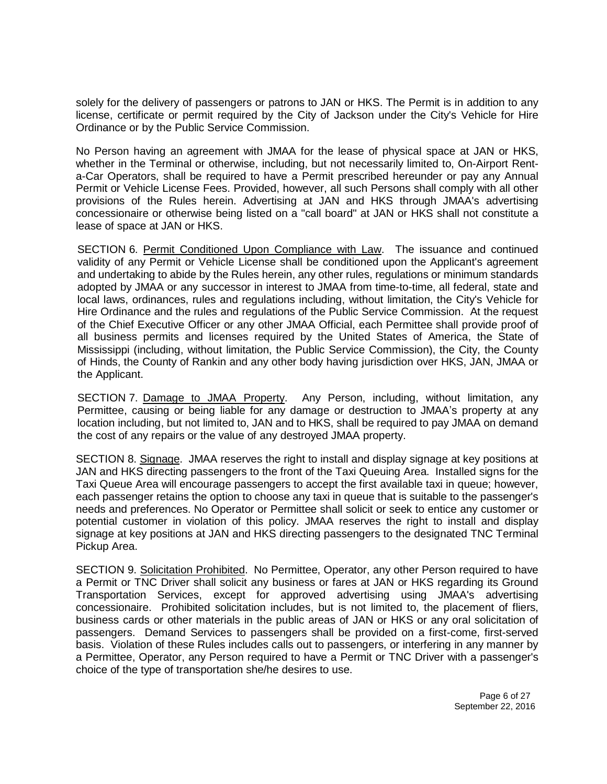solely for the delivery of passengers or patrons to JAN or HKS. The Permit is in addition to any license, certificate or permit required by the City of Jackson under the City's Vehicle for Hire Ordinance or by the Public Service Commission.

No Person having an agreement with JMAA for the lease of physical space at JAN or HKS, whether in the Terminal or otherwise, including, but not necessarily limited to, On-Airport Renta-Car Operators, shall be required to have a Permit prescribed hereunder or pay any Annual Permit or Vehicle License Fees. Provided, however, all such Persons shall comply with all other provisions of the Rules herein. Advertising at JAN and HKS through JMAA's advertising concessionaire or otherwise being listed on a "call board" at JAN or HKS shall not constitute a lease of space at JAN or HKS.

SECTION 6. Permit Conditioned Upon Compliance with Law. The issuance and continued validity of any Permit or Vehicle License shall be conditioned upon the Applicant's agreement and undertaking to abide by the Rules herein, any other rules, regulations or minimum standards adopted by JMAA or any successor in interest to JMAA from time-to-time, all federal, state and local laws, ordinances, rules and regulations including, without limitation, the City's Vehicle for Hire Ordinance and the rules and regulations of the Public Service Commission. At the request of the Chief Executive Officer or any other JMAA Official, each Permittee shall provide proof of all business permits and licenses required by the United States of America, the State of Mississippi (including, without limitation, the Public Service Commission), the City, the County of Hinds, the County of Rankin and any other body having jurisdiction over HKS, JAN, JMAA or the Applicant.

SECTION 7. Damage to JMAA Property. Any Person, including, without limitation, any Permittee, causing or being liable for any damage or destruction to JMAA's property at any location including, but not limited to, JAN and to HKS, shall be required to pay JMAA on demand the cost of any repairs or the value of any destroyed JMAA property.

SECTION 8. Signage. JMAA reserves the right to install and display signage at key positions at JAN and HKS directing passengers to the front of the Taxi Queuing Area. Installed signs for the Taxi Queue Area will encourage passengers to accept the first available taxi in queue; however, each passenger retains the option to choose any taxi in queue that is suitable to the passenger's needs and preferences. No Operator or Permittee shall solicit or seek to entice any customer or potential customer in violation of this policy. JMAA reserves the right to install and display signage at key positions at JAN and HKS directing passengers to the designated TNC Terminal Pickup Area.

SECTION 9. Solicitation Prohibited. No Permittee, Operator, any other Person required to have a Permit or TNC Driver shall solicit any business or fares at JAN or HKS regarding its Ground Transportation Services, except for approved advertising using JMAA's advertising concessionaire. Prohibited solicitation includes, but is not limited to, the placement of fliers, business cards or other materials in the public areas of JAN or HKS or any oral solicitation of passengers. Demand Services to passengers shall be provided on a first-come, first-served basis. Violation of these Rules includes calls out to passengers, or interfering in any manner by a Permittee, Operator, any Person required to have a Permit or TNC Driver with a passenger's choice of the type of transportation she/he desires to use.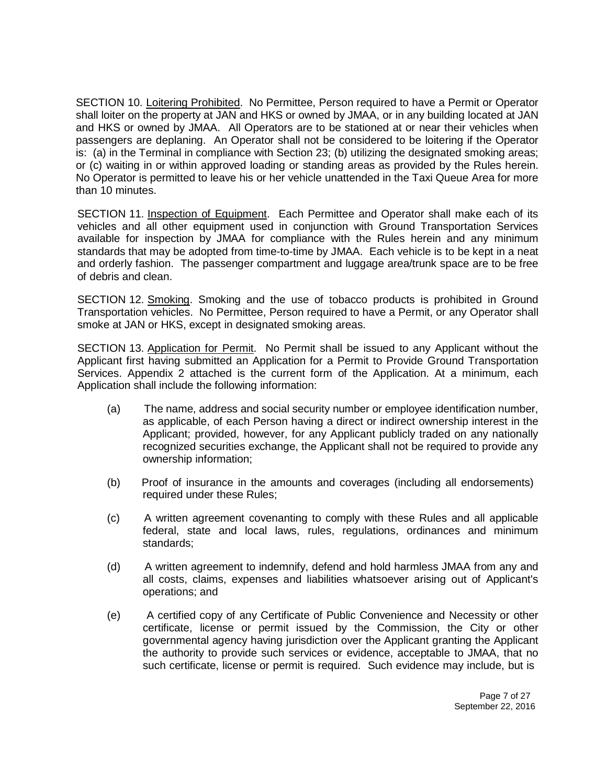SECTION 10. Loitering Prohibited. No Permittee, Person required to have a Permit or Operator shall loiter on the property at JAN and HKS or owned by JMAA, or in any building located at JAN and HKS or owned by JMAA. All Operators are to be stationed at or near their vehicles when passengers are deplaning. An Operator shall not be considered to be loitering if the Operator is: (a) in the Terminal in compliance with Section 23; (b) utilizing the designated smoking areas; or (c) waiting in or within approved loading or standing areas as provided by the Rules herein. No Operator is permitted to leave his or her vehicle unattended in the Taxi Queue Area for more than 10 minutes.

SECTION 11. Inspection of Equipment. Each Permittee and Operator shall make each of its vehicles and all other equipment used in conjunction with Ground Transportation Services available for inspection by JMAA for compliance with the Rules herein and any minimum standards that may be adopted from time-to-time by JMAA. Each vehicle is to be kept in a neat and orderly fashion. The passenger compartment and luggage area/trunk space are to be free of debris and clean.

SECTION 12. Smoking. Smoking and the use of tobacco products is prohibited in Ground Transportation vehicles. No Permittee, Person required to have a Permit, or any Operator shall smoke at JAN or HKS, except in designated smoking areas.

SECTION 13. Application for Permit. No Permit shall be issued to any Applicant without the Applicant first having submitted an Application for a Permit to Provide Ground Transportation Services. Appendix 2 attached is the current form of the Application. At a minimum, each Application shall include the following information:

- (a) The name, address and social security number or employee identification number, as applicable, of each Person having a direct or indirect ownership interest in the Applicant; provided, however, for any Applicant publicly traded on any nationally recognized securities exchange, the Applicant shall not be required to provide any ownership information;
- (b) Proof of insurance in the amounts and coverages (including all endorsements) required under these Rules;
- (c) A written agreement covenanting to comply with these Rules and all applicable federal, state and local laws, rules, regulations, ordinances and minimum standards;
- (d) A written agreement to indemnify, defend and hold harmless JMAA from any and all costs, claims, expenses and liabilities whatsoever arising out of Applicant's operations; and
- (e) A certified copy of any Certificate of Public Convenience and Necessity or other certificate, license or permit issued by the Commission, the City or other governmental agency having jurisdiction over the Applicant granting the Applicant the authority to provide such services or evidence, acceptable to JMAA, that no such certificate, license or permit is required. Such evidence may include, but is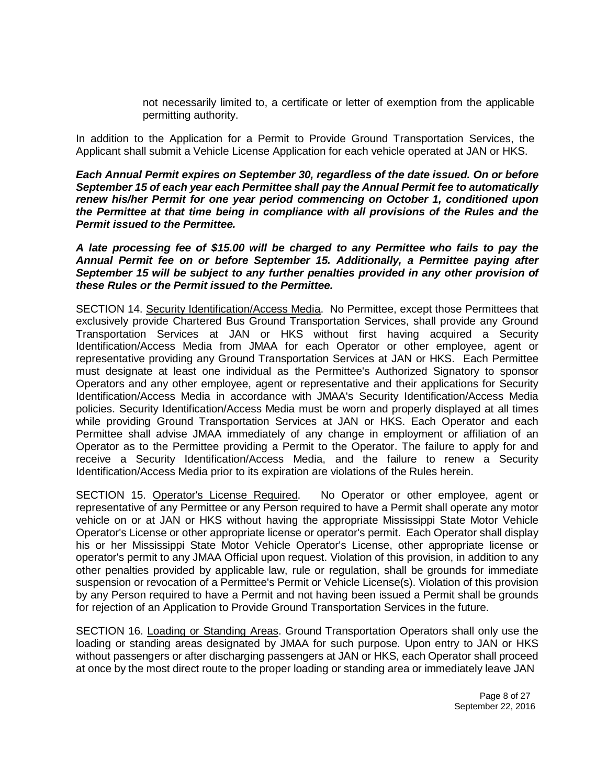not necessarily limited to, a certificate or letter of exemption from the applicable permitting authority.

In addition to the Application for a Permit to Provide Ground Transportation Services, the Applicant shall submit a Vehicle License Application for each vehicle operated at JAN or HKS.

*Each Annual Permit expires on September 30, regardless of the date issued. On or before September 15 of each year each Permittee shall pay the Annual Permit fee to automatically renew his/her Permit for one year period commencing on October 1, conditioned upon the Permittee at that time being in compliance with all provisions of the Rules and the Permit issued to the Permittee.*

*A late processing fee of \$15.00 will be charged to any Permittee who fails to pay the Annual Permit fee on or before September 15. Additionally, a Permittee paying after September 15 will be subject to any further penalties provided in any other provision of these Rules or the Permit issued to the Permittee.*

SECTION 14. Security Identification/Access Media. No Permittee, except those Permittees that exclusively provide Chartered Bus Ground Transportation Services, shall provide any Ground Transportation Services at JAN or HKS without first having acquired a Security Identification/Access Media from JMAA for each Operator or other employee, agent or representative providing any Ground Transportation Services at JAN or HKS. Each Permittee must designate at least one individual as the Permittee's Authorized Signatory to sponsor Operators and any other employee, agent or representative and their applications for Security Identification/Access Media in accordance with JMAA's Security Identification/Access Media policies. Security Identification/Access Media must be worn and properly displayed at all times while providing Ground Transportation Services at JAN or HKS. Each Operator and each Permittee shall advise JMAA immediately of any change in employment or affiliation of an Operator as to the Permittee providing a Permit to the Operator. The failure to apply for and receive a Security Identification/Access Media, and the failure to renew a Security Identification/Access Media prior to its expiration are violations of the Rules herein.

SECTION 15. Operator's License Required. No Operator or other employee, agent or representative of any Permittee or any Person required to have a Permit shall operate any motor vehicle on or at JAN or HKS without having the appropriate Mississippi State Motor Vehicle Operator's License or other appropriate license or operator's permit. Each Operator shall display his or her Mississippi State Motor Vehicle Operator's License, other appropriate license or operator's permit to any JMAA Official upon request. Violation of this provision, in addition to any other penalties provided by applicable law, rule or regulation, shall be grounds for immediate suspension or revocation of a Permittee's Permit or Vehicle License(s). Violation of this provision by any Person required to have a Permit and not having been issued a Permit shall be grounds for rejection of an Application to Provide Ground Transportation Services in the future.

SECTION 16. Loading or Standing Areas. Ground Transportation Operators shall only use the loading or standing areas designated by JMAA for such purpose. Upon entry to JAN or HKS without passengers or after discharging passengers at JAN or HKS, each Operator shall proceed at once by the most direct route to the proper loading or standing area or immediately leave JAN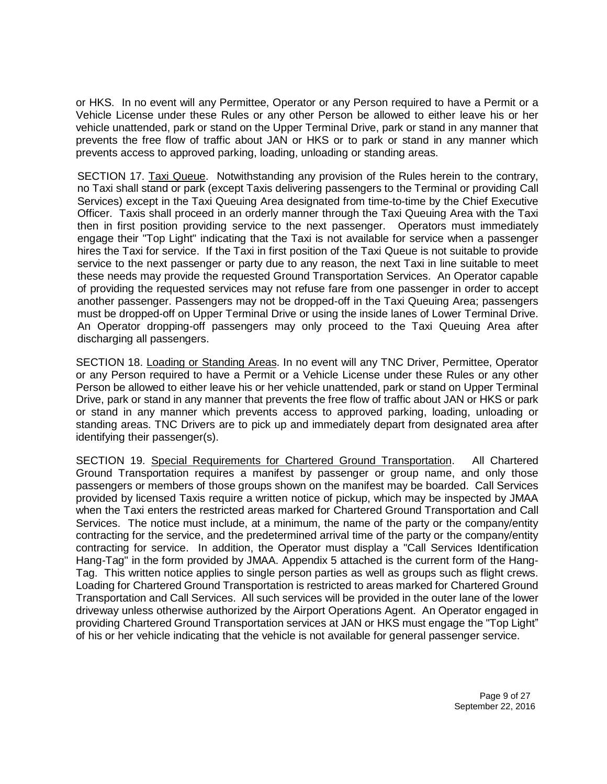or HKS. In no event will any Permittee, Operator or any Person required to have a Permit or a Vehicle License under these Rules or any other Person be allowed to either leave his or her vehicle unattended, park or stand on the Upper Terminal Drive, park or stand in any manner that prevents the free flow of traffic about JAN or HKS or to park or stand in any manner which prevents access to approved parking, loading, unloading or standing areas.

SECTION 17. Taxi Queue. Notwithstanding any provision of the Rules herein to the contrary, no Taxi shall stand or park (except Taxis delivering passengers to the Terminal or providing Call Services) except in the Taxi Queuing Area designated from time-to-time by the Chief Executive Officer. Taxis shall proceed in an orderly manner through the Taxi Queuing Area with the Taxi then in first position providing service to the next passenger. Operators must immediately engage their "Top Light" indicating that the Taxi is not available for service when a passenger hires the Taxi for service. If the Taxi in first position of the Taxi Queue is not suitable to provide service to the next passenger or party due to any reason, the next Taxi in line suitable to meet these needs may provide the requested Ground Transportation Services. An Operator capable of providing the requested services may not refuse fare from one passenger in order to accept another passenger. Passengers may not be dropped-off in the Taxi Queuing Area; passengers must be dropped-off on Upper Terminal Drive or using the inside lanes of Lower Terminal Drive. An Operator dropping-off passengers may only proceed to the Taxi Queuing Area after discharging all passengers.

SECTION 18. Loading or Standing Areas. In no event will any TNC Driver, Permittee, Operator or any Person required to have a Permit or a Vehicle License under these Rules or any other Person be allowed to either leave his or her vehicle unattended, park or stand on Upper Terminal Drive, park or stand in any manner that prevents the free flow of traffic about JAN or HKS or park or stand in any manner which prevents access to approved parking, loading, unloading or standing areas. TNC Drivers are to pick up and immediately depart from designated area after identifying their passenger(s).

SECTION 19. Special Requirements for Chartered Ground Transportation. All Chartered Ground Transportation requires a manifest by passenger or group name, and only those passengers or members of those groups shown on the manifest may be boarded. Call Services provided by licensed Taxis require a written notice of pickup, which may be inspected by JMAA when the Taxi enters the restricted areas marked for Chartered Ground Transportation and Call Services. The notice must include, at a minimum, the name of the party or the company/entity contracting for the service, and the predetermined arrival time of the party or the company/entity contracting for service. In addition, the Operator must display a "Call Services Identification Hang-Tag" in the form provided by JMAA. Appendix 5 attached is the current form of the Hang-Tag. This written notice applies to single person parties as well as groups such as flight crews. Loading for Chartered Ground Transportation is restricted to areas marked for Chartered Ground Transportation and Call Services. All such services will be provided in the outer lane of the lower driveway unless otherwise authorized by the Airport Operations Agent. An Operator engaged in providing Chartered Ground Transportation services at JAN or HKS must engage the "Top Light" of his or her vehicle indicating that the vehicle is not available for general passenger service.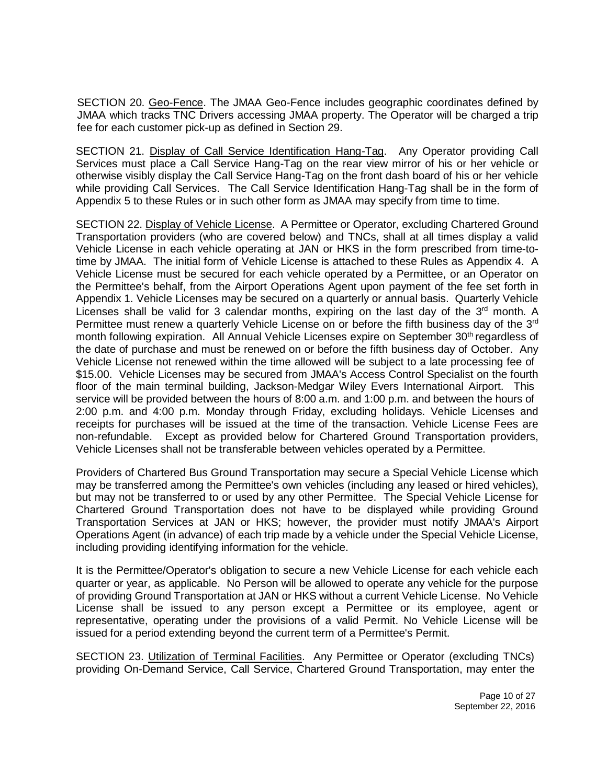SECTION 20. Geo-Fence. The JMAA Geo-Fence includes geographic coordinates defined by JMAA which tracks TNC Drivers accessing JMAA property. The Operator will be charged a trip fee for each customer pick-up as defined in Section 29.

SECTION 21. Display of Call Service Identification Hang-Tag. Any Operator providing Call Services must place a Call Service Hang-Tag on the rear view mirror of his or her vehicle or otherwise visibly display the Call Service Hang-Tag on the front dash board of his or her vehicle while providing Call Services. The Call Service Identification Hang-Tag shall be in the form of Appendix 5 to these Rules or in such other form as JMAA may specify from time to time.

SECTION 22. Display of Vehicle License. A Permittee or Operator, excluding Chartered Ground Transportation providers (who are covered below) and TNCs, shall at all times display a valid Vehicle License in each vehicle operating at JAN or HKS in the form prescribed from time-totime by JMAA. The initial form of Vehicle License is attached to these Rules as Appendix 4. A Vehicle License must be secured for each vehicle operated by a Permittee, or an Operator on the Permittee's behalf, from the Airport Operations Agent upon payment of the fee set forth in Appendix 1. Vehicle Licenses may be secured on a quarterly or annual basis. Quarterly Vehicle Licenses shall be valid for 3 calendar months, expiring on the last day of the 3<sup>rd</sup> month. A Permittee must renew a quarterly Vehicle License on or before the fifth business day of the 3<sup>rd</sup> month following expiration. All Annual Vehicle Licenses expire on September 30<sup>th</sup> regardless of the date of purchase and must be renewed on or before the fifth business day of October. Any Vehicle License not renewed within the time allowed will be subject to a late processing fee of \$15.00. Vehicle Licenses may be secured from JMAA's Access Control Specialist on the fourth floor of the main terminal building, Jackson-Medgar Wiley Evers International Airport. This service will be provided between the hours of 8:00 a.m. and 1:00 p.m. and between the hours of 2:00 p.m. and 4:00 p.m. Monday through Friday, excluding holidays. Vehicle Licenses and receipts for purchases will be issued at the time of the transaction. Vehicle License Fees are non-refundable. Except as provided below for Chartered Ground Transportation providers, Vehicle Licenses shall not be transferable between vehicles operated by a Permittee.

Providers of Chartered Bus Ground Transportation may secure a Special Vehicle License which may be transferred among the Permittee's own vehicles (including any leased or hired vehicles), but may not be transferred to or used by any other Permittee. The Special Vehicle License for Chartered Ground Transportation does not have to be displayed while providing Ground Transportation Services at JAN or HKS; however, the provider must notify JMAA's Airport Operations Agent (in advance) of each trip made by a vehicle under the Special Vehicle License, including providing identifying information for the vehicle.

It is the Permittee/Operator's obligation to secure a new Vehicle License for each vehicle each quarter or year, as applicable. No Person will be allowed to operate any vehicle for the purpose of providing Ground Transportation at JAN or HKS without a current Vehicle License. No Vehicle License shall be issued to any person except a Permittee or its employee, agent or representative, operating under the provisions of a valid Permit. No Vehicle License will be issued for a period extending beyond the current term of a Permittee's Permit.

SECTION 23. Utilization of Terminal Facilities. Any Permittee or Operator (excluding TNCs) providing On-Demand Service, Call Service, Chartered Ground Transportation, may enter the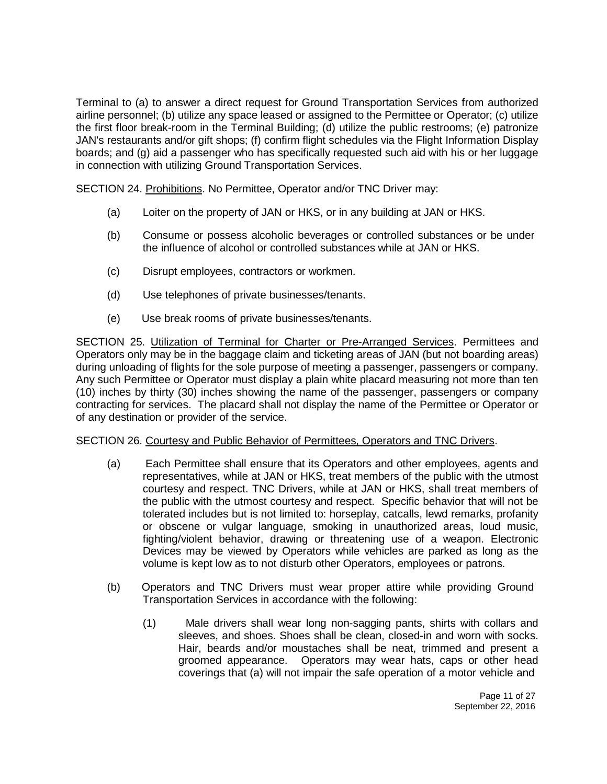Terminal to (a) to answer a direct request for Ground Transportation Services from authorized airline personnel; (b) utilize any space leased or assigned to the Permittee or Operator; (c) utilize the first floor break-room in the Terminal Building; (d) utilize the public restrooms; (e) patronize JAN's restaurants and/or gift shops; (f) confirm flight schedules via the Flight Information Display boards; and (g) aid a passenger who has specifically requested such aid with his or her luggage in connection with utilizing Ground Transportation Services.

SECTION 24. Prohibitions. No Permittee, Operator and/or TNC Driver may:

- (a) Loiter on the property of JAN or HKS, or in any building at JAN or HKS.
- (b) Consume or possess alcoholic beverages or controlled substances or be under the influence of alcohol or controlled substances while at JAN or HKS.
- (c) Disrupt employees, contractors or workmen.
- (d) Use telephones of private businesses/tenants.
- (e) Use break rooms of private businesses/tenants.

SECTION 25. Utilization of Terminal for Charter or Pre-Arranged Services. Permittees and Operators only may be in the baggage claim and ticketing areas of JAN (but not boarding areas) during unloading of flights for the sole purpose of meeting a passenger, passengers or company. Any such Permittee or Operator must display a plain white placard measuring not more than ten (10) inches by thirty (30) inches showing the name of the passenger, passengers or company contracting for services. The placard shall not display the name of the Permittee or Operator or of any destination or provider of the service.

## SECTION 26. Courtesy and Public Behavior of Permittees, Operators and TNC Drivers.

- (a) Each Permittee shall ensure that its Operators and other employees, agents and representatives, while at JAN or HKS, treat members of the public with the utmost courtesy and respect. TNC Drivers, while at JAN or HKS, shall treat members of the public with the utmost courtesy and respect. Specific behavior that will not be tolerated includes but is not limited to: horseplay, catcalls, lewd remarks, profanity or obscene or vulgar language, smoking in unauthorized areas, loud music, fighting/violent behavior, drawing or threatening use of a weapon. Electronic Devices may be viewed by Operators while vehicles are parked as long as the volume is kept low as to not disturb other Operators, employees or patrons.
- (b) Operators and TNC Drivers must wear proper attire while providing Ground Transportation Services in accordance with the following:
	- (1) Male drivers shall wear long non-sagging pants, shirts with collars and sleeves, and shoes. Shoes shall be clean, closed-in and worn with socks. Hair, beards and/or moustaches shall be neat, trimmed and present a groomed appearance. Operators may wear hats, caps or other head coverings that (a) will not impair the safe operation of a motor vehicle and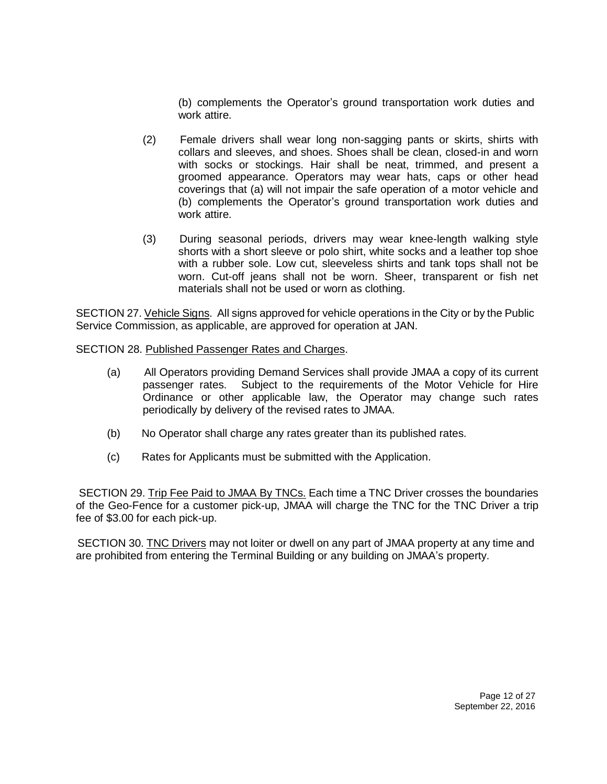(b) complements the Operator's ground transportation work duties and work attire.

- (2) Female drivers shall wear long non-sagging pants or skirts, shirts with collars and sleeves, and shoes. Shoes shall be clean, closed-in and worn with socks or stockings. Hair shall be neat, trimmed, and present a groomed appearance. Operators may wear hats, caps or other head coverings that (a) will not impair the safe operation of a motor vehicle and (b) complements the Operator's ground transportation work duties and work attire.
- (3) During seasonal periods, drivers may wear knee-length walking style shorts with a short sleeve or polo shirt, white socks and a leather top shoe with a rubber sole. Low cut, sleeveless shirts and tank tops shall not be worn. Cut-off jeans shall not be worn. Sheer, transparent or fish net materials shall not be used or worn as clothing.

SECTION 27. Vehicle Signs. All signs approved for vehicle operations in the City or by the Public Service Commission, as applicable, are approved for operation at JAN.

SECTION 28. Published Passenger Rates and Charges.

- (a) All Operators providing Demand Services shall provide JMAA a copy of its current passenger rates. Subject to the requirements of the Motor Vehicle for Hire Ordinance or other applicable law, the Operator may change such rates periodically by delivery of the revised rates to JMAA.
- (b) No Operator shall charge any rates greater than its published rates.
- (c) Rates for Applicants must be submitted with the Application.

SECTION 29. Trip Fee Paid to JMAA By TNCs. Each time a TNC Driver crosses the boundaries of the Geo-Fence for a customer pick-up, JMAA will charge the TNC for the TNC Driver a trip fee of \$3.00 for each pick-up.

SECTION 30. TNC Drivers may not loiter or dwell on any part of JMAA property at any time and are prohibited from entering the Terminal Building or any building on JMAA's property.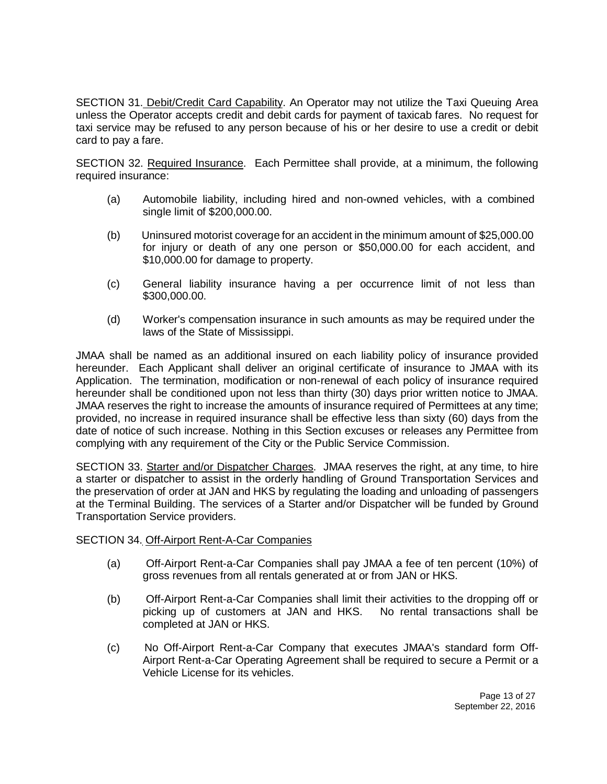SECTION 31. Debit/Credit Card Capability. An Operator may not utilize the Taxi Queuing Area unless the Operator accepts credit and debit cards for payment of taxicab fares. No request for taxi service may be refused to any person because of his or her desire to use a credit or debit card to pay a fare.

SECTION 32. Required Insurance. Each Permittee shall provide, at a minimum, the following required insurance:

- (a) Automobile liability, including hired and non-owned vehicles, with a combined single limit of \$200,000.00.
- (b) Uninsured motorist coverage for an accident in the minimum amount of \$25,000.00 for injury or death of any one person or \$50,000.00 for each accident, and \$10,000.00 for damage to property.
- (c) General liability insurance having a per occurrence limit of not less than \$300,000.00.
- (d) Worker's compensation insurance in such amounts as may be required under the laws of the State of Mississippi.

JMAA shall be named as an additional insured on each liability policy of insurance provided hereunder. Each Applicant shall deliver an original certificate of insurance to JMAA with its Application. The termination, modification or non-renewal of each policy of insurance required hereunder shall be conditioned upon not less than thirty (30) days prior written notice to JMAA. JMAA reserves the right to increase the amounts of insurance required of Permittees at any time; provided, no increase in required insurance shall be effective less than sixty (60) days from the date of notice of such increase. Nothing in this Section excuses or releases any Permittee from complying with any requirement of the City or the Public Service Commission.

SECTION 33. Starter and/or Dispatcher Charges. JMAA reserves the right, at any time, to hire a starter or dispatcher to assist in the orderly handling of Ground Transportation Services and the preservation of order at JAN and HKS by regulating the loading and unloading of passengers at the Terminal Building. The services of a Starter and/or Dispatcher will be funded by Ground Transportation Service providers.

#### SECTION 34. Off-Airport Rent-A-Car Companies

- (a) Off-Airport Rent-a-Car Companies shall pay JMAA a fee of ten percent (10%) of gross revenues from all rentals generated at or from JAN or HKS.
- (b) Off-Airport Rent-a-Car Companies shall limit their activities to the dropping off or picking up of customers at JAN and HKS. No rental transactions shall be completed at JAN or HKS.
- (c) No Off-Airport Rent-a-Car Company that executes JMAA's standard form Off-Airport Rent-a-Car Operating Agreement shall be required to secure a Permit or a Vehicle License for its vehicles.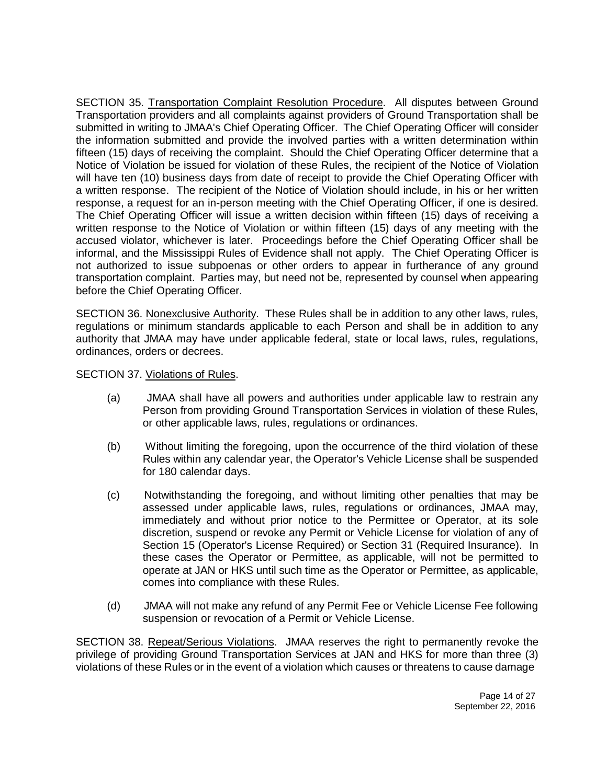SECTION 35. Transportation Complaint Resolution Procedure. All disputes between Ground Transportation providers and all complaints against providers of Ground Transportation shall be submitted in writing to JMAA's Chief Operating Officer. The Chief Operating Officer will consider the information submitted and provide the involved parties with a written determination within fifteen (15) days of receiving the complaint. Should the Chief Operating Officer determine that a Notice of Violation be issued for violation of these Rules, the recipient of the Notice of Violation will have ten (10) business days from date of receipt to provide the Chief Operating Officer with a written response. The recipient of the Notice of Violation should include, in his or her written response, a request for an in-person meeting with the Chief Operating Officer, if one is desired. The Chief Operating Officer will issue a written decision within fifteen (15) days of receiving a written response to the Notice of Violation or within fifteen (15) days of any meeting with the accused violator, whichever is later. Proceedings before the Chief Operating Officer shall be informal, and the Mississippi Rules of Evidence shall not apply. The Chief Operating Officer is not authorized to issue subpoenas or other orders to appear in furtherance of any ground transportation complaint. Parties may, but need not be, represented by counsel when appearing before the Chief Operating Officer.

SECTION 36. Nonexclusive Authority. These Rules shall be in addition to any other laws, rules, regulations or minimum standards applicable to each Person and shall be in addition to any authority that JMAA may have under applicable federal, state or local laws, rules, regulations, ordinances, orders or decrees.

SECTION 37. Violations of Rules.

- (a) JMAA shall have all powers and authorities under applicable law to restrain any Person from providing Ground Transportation Services in violation of these Rules, or other applicable laws, rules, regulations or ordinances.
- (b) Without limiting the foregoing, upon the occurrence of the third violation of these Rules within any calendar year, the Operator's Vehicle License shall be suspended for 180 calendar days.
- (c) Notwithstanding the foregoing, and without limiting other penalties that may be assessed under applicable laws, rules, regulations or ordinances, JMAA may, immediately and without prior notice to the Permittee or Operator, at its sole discretion, suspend or revoke any Permit or Vehicle License for violation of any of Section 15 (Operator's License Required) or Section 31 (Required Insurance). In these cases the Operator or Permittee, as applicable, will not be permitted to operate at JAN or HKS until such time as the Operator or Permittee, as applicable, comes into compliance with these Rules.
- (d) JMAA will not make any refund of any Permit Fee or Vehicle License Fee following suspension or revocation of a Permit or Vehicle License.

SECTION 38. Repeat/Serious Violations. JMAA reserves the right to permanently revoke the privilege of providing Ground Transportation Services at JAN and HKS for more than three (3) violations of these Rules or in the event of a violation which causes or threatens to cause damage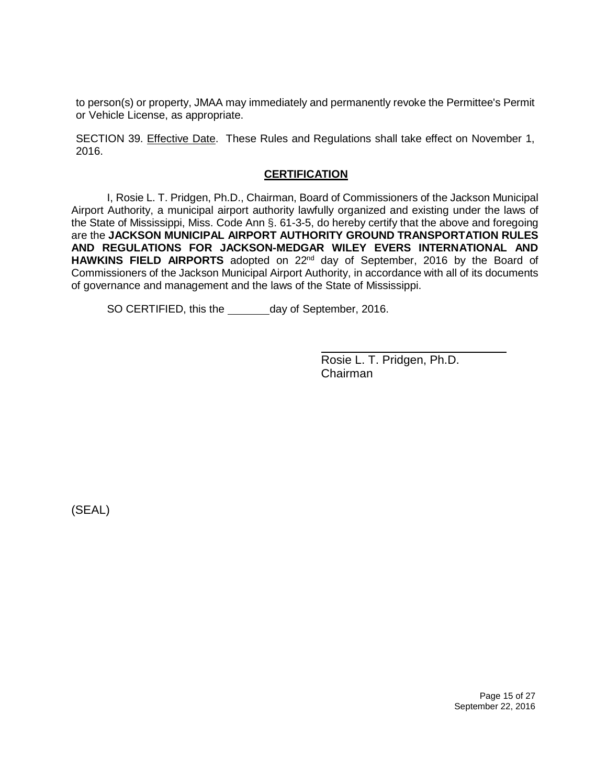to person(s) or property, JMAA may immediately and permanently revoke the Permittee's Permit or Vehicle License, as appropriate.

SECTION 39. Effective Date. These Rules and Regulations shall take effect on November 1, 2016.

### **CERTIFICATION**

I, Rosie L. T. Pridgen, Ph.D., Chairman, Board of Commissioners of the Jackson Municipal Airport Authority, a municipal airport authority lawfully organized and existing under the laws of the State of Mississippi, Miss. Code Ann §. 61-3-5, do hereby certify that the above and foregoing are the **JACKSON MUNICIPAL AIRPORT AUTHORITY GROUND TRANSPORTATION RULES AND REGULATIONS FOR JACKSON-MEDGAR WILEY EVERS INTERNATIONAL AND**  HAWKINS FIELD AIRPORTS adopted on 22<sup>nd</sup> day of September, 2016 by the Board of Commissioners of the Jackson Municipal Airport Authority, in accordance with all of its documents of governance and management and the laws of the State of Mississippi.

SO CERTIFIED, this the \_\_\_\_\_\_\_\_ day of September, 2016.

Rosie L. T. Pridgen, Ph.D. Chairman

(SEAL)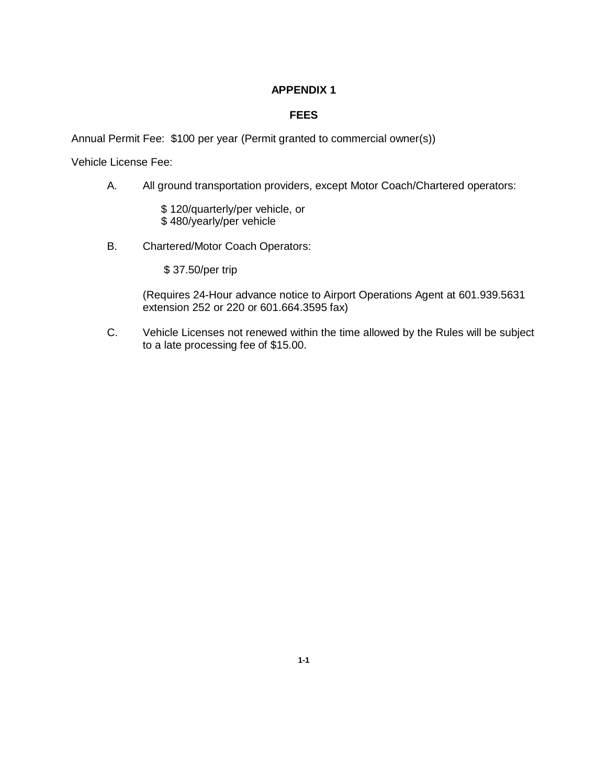## **FEES**

Annual Permit Fee: \$100 per year (Permit granted to commercial owner(s))

Vehicle License Fee:

A. All ground transportation providers, except Motor Coach/Chartered operators:

\$ 120/quarterly/per vehicle, or \$ 480/yearly/per vehicle

B. Chartered/Motor Coach Operators:

\$ 37.50/per trip

(Requires 24-Hour advance notice to Airport Operations Agent at 601.939.5631 extension 252 or 220 or 601.664.3595 fax)

C. Vehicle Licenses not renewed within the time allowed by the Rules will be subject to a late processing fee of \$15.00.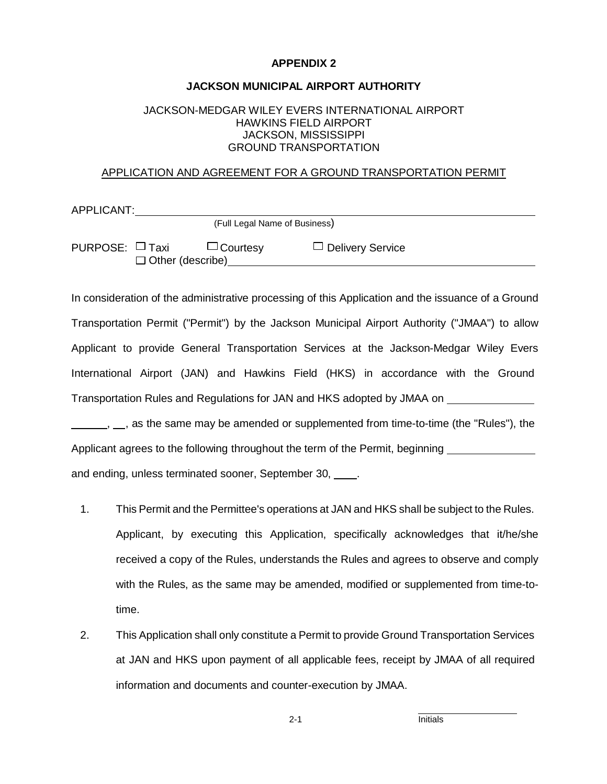#### **JACKSON MUNICIPAL AIRPORT AUTHORITY**

#### JACKSON-MEDGAR WILEY EVERS INTERNATIONAL AIRPORT HAWKINS FIELD AIRPORT JACKSON, MISSISSIPPI GROUND TRANSPORTATION

#### APPLICATION AND AGREEMENT FOR A GROUND TRANSPORTATION PERMIT

| APPLICANT:           |                         |                               |                         |
|----------------------|-------------------------|-------------------------------|-------------------------|
|                      |                         | (Full Legal Name of Business) |                         |
| PURPOSE: $\Box$ Taxi | $\Box$ Other (describe) | $\Box$ Courtesy               | $\Box$ Delivery Service |

In consideration of the administrative processing of this Application and the issuance of a Ground Transportation Permit ("Permit") by the Jackson Municipal Airport Authority ("JMAA") to allow Applicant to provide General Transportation Services at the Jackson-Medgar Wiley Evers International Airport (JAN) and Hawkins Field (HKS) in accordance with the Ground Transportation Rules and Regulations for JAN and HKS adopted by JMAA on  $_1$ ,  $_2$ , as the same may be amended or supplemented from time-to-time (the "Rules"), the

Applicant agrees to the following throughout the term of the Permit, beginning and ending, unless terminated sooner, September 30, \_\_\_\_.

- 1. This Permit and the Permittee's operations at JAN and HKS shall be subject to the Rules. Applicant, by executing this Application, specifically acknowledges that it/he/she received a copy of the Rules, understands the Rules and agrees to observe and comply with the Rules, as the same may be amended, modified or supplemented from time-totime.
- 2. This Application shall only constitute a Permit to provide Ground Transportation Services at JAN and HKS upon payment of all applicable fees, receipt by JMAA of all required information and documents and counter-execution by JMAA.

2-1 Initials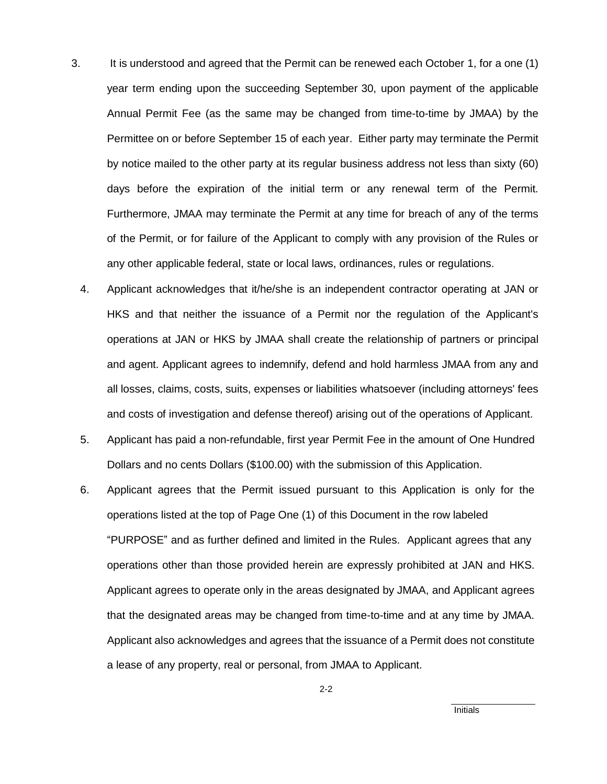- 3. It is understood and agreed that the Permit can be renewed each October 1, for a one (1) year term ending upon the succeeding September 30, upon payment of the applicable Annual Permit Fee (as the same may be changed from time-to-time by JMAA) by the Permittee on or before September 15 of each year. Either party may terminate the Permit by notice mailed to the other party at its regular business address not less than sixty (60) days before the expiration of the initial term or any renewal term of the Permit. Furthermore, JMAA may terminate the Permit at any time for breach of any of the terms of the Permit, or for failure of the Applicant to comply with any provision of the Rules or any other applicable federal, state or local laws, ordinances, rules or regulations.
	- 4. Applicant acknowledges that it/he/she is an independent contractor operating at JAN or HKS and that neither the issuance of a Permit nor the regulation of the Applicant's operations at JAN or HKS by JMAA shall create the relationship of partners or principal and agent. Applicant agrees to indemnify, defend and hold harmless JMAA from any and all losses, claims, costs, suits, expenses or liabilities whatsoever (including attorneys' fees and costs of investigation and defense thereof) arising out of the operations of Applicant.
	- 5. Applicant has paid a non-refundable, first year Permit Fee in the amount of One Hundred Dollars and no cents Dollars (\$100.00) with the submission of this Application.
	- 6. Applicant agrees that the Permit issued pursuant to this Application is only for the operations listed at the top of Page One (1) of this Document in the row labeled "PURPOSE" and as further defined and limited in the Rules. Applicant agrees that any operations other than those provided herein are expressly prohibited at JAN and HKS. Applicant agrees to operate only in the areas designated by JMAA, and Applicant agrees that the designated areas may be changed from time-to-time and at any time by JMAA. Applicant also acknowledges and agrees that the issuance of a Permit does not constitute a lease of any property, real or personal, from JMAA to Applicant.

2-2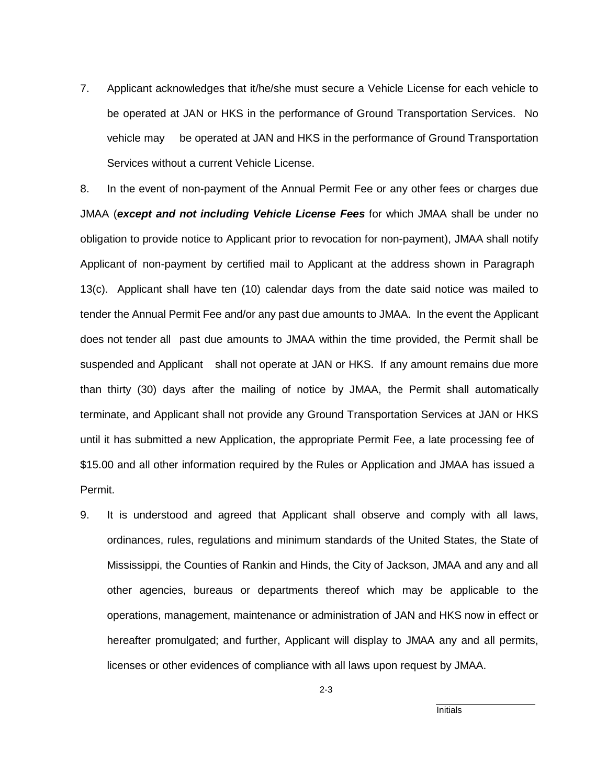7. Applicant acknowledges that it/he/she must secure a Vehicle License for each vehicle to be operated at JAN or HKS in the performance of Ground Transportation Services. No vehicle may be operated at JAN and HKS in the performance of Ground Transportation Services without a current Vehicle License.

8. In the event of non-payment of the Annual Permit Fee or any other fees or charges due JMAA (*except and not including Vehicle License Fees* for which JMAA shall be under no obligation to provide notice to Applicant prior to revocation for non-payment), JMAA shall notify Applicant of non-payment by certified mail to Applicant at the address shown in Paragraph 13(c). Applicant shall have ten (10) calendar days from the date said notice was mailed to tender the Annual Permit Fee and/or any past due amounts to JMAA. In the event the Applicant does not tender all past due amounts to JMAA within the time provided, the Permit shall be suspended and Applicant shall not operate at JAN or HKS. If any amount remains due more than thirty (30) days after the mailing of notice by JMAA, the Permit shall automatically terminate, and Applicant shall not provide any Ground Transportation Services at JAN or HKS until it has submitted a new Application, the appropriate Permit Fee, a late processing fee of \$15.00 and all other information required by the Rules or Application and JMAA has issued a Permit.

9. It is understood and agreed that Applicant shall observe and comply with all laws, ordinances, rules, regulations and minimum standards of the United States, the State of Mississippi, the Counties of Rankin and Hinds, the City of Jackson, JMAA and any and all other agencies, bureaus or departments thereof which may be applicable to the operations, management, maintenance or administration of JAN and HKS now in effect or hereafter promulgated; and further, Applicant will display to JMAA any and all permits, licenses or other evidences of compliance with all laws upon request by JMAA.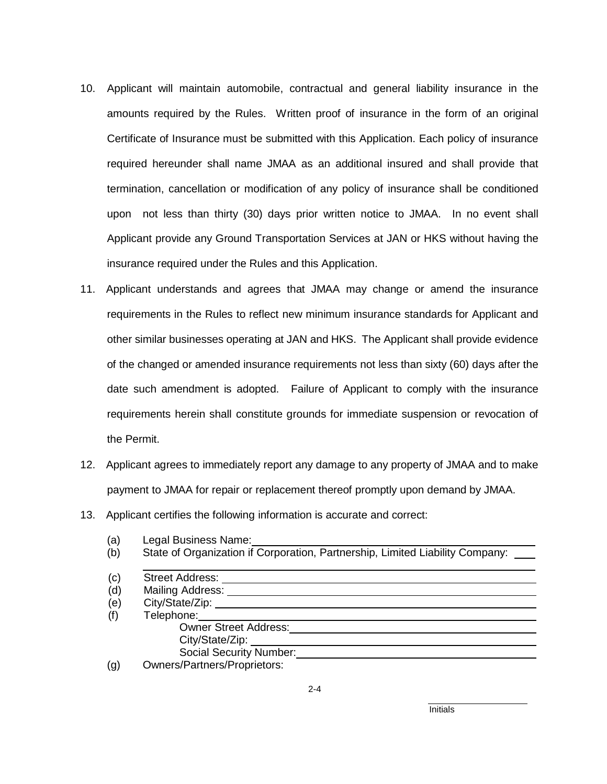- 10. Applicant will maintain automobile, contractual and general liability insurance in the amounts required by the Rules. Written proof of insurance in the form of an original Certificate of Insurance must be submitted with this Application. Each policy of insurance required hereunder shall name JMAA as an additional insured and shall provide that termination, cancellation or modification of any policy of insurance shall be conditioned upon not less than thirty (30) days prior written notice to JMAA. In no event shall Applicant provide any Ground Transportation Services at JAN or HKS without having the insurance required under the Rules and this Application.
- 11. Applicant understands and agrees that JMAA may change or amend the insurance requirements in the Rules to reflect new minimum insurance standards for Applicant and other similar businesses operating at JAN and HKS. The Applicant shall provide evidence of the changed or amended insurance requirements not less than sixty (60) days after the date such amendment is adopted. Failure of Applicant to comply with the insurance requirements herein shall constitute grounds for immediate suspension or revocation of the Permit.
- 12. Applicant agrees to immediately report any damage to any property of JMAA and to make payment to JMAA for repair or replacement thereof promptly upon demand by JMAA.
- 13. Applicant certifies the following information is accurate and correct:
	- (a) Legal Business Name:
	- (b) State of Organization if Corporation, Partnership, Limited Liability Company:

| (c) | <b>Street Address:</b>              |  |
|-----|-------------------------------------|--|
| (d) | Mailing Address:                    |  |
| (e) | City/State/Zip:                     |  |
| (f) | Telephone:                          |  |
|     | <b>Owner Street Address:</b>        |  |
|     | City/State/Zip:                     |  |
|     | <b>Social Security Number:</b>      |  |
| (g) | <b>Owners/Partners/Proprietors:</b> |  |

 $2 - 4$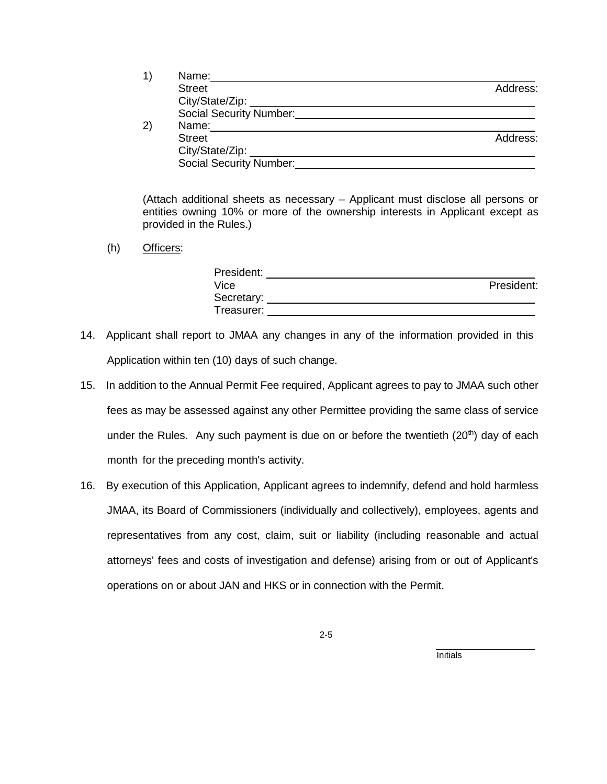| 1) | Name:                   |          |
|----|-------------------------|----------|
|    | <b>Street</b>           | Address: |
|    | City/State/Zip:         |          |
|    | Social Security Number: |          |
| 2) | Name:                   |          |
|    | <b>Street</b>           | Address: |
|    | City/State/Zip:         |          |
|    | Social Security Number: |          |

(Attach additional sheets as necessary – Applicant must disclose all persons or entities owning 10% or more of the ownership interests in Applicant except as provided in the Rules.)

(h) Officers:

| President: |            |
|------------|------------|
| Vice       | President: |
| Secretary: |            |
| Treasurer: |            |

- 14. Applicant shall report to JMAA any changes in any of the information provided in this Application within ten (10) days of such change.
- 15. In addition to the Annual Permit Fee required, Applicant agrees to pay to JMAA such other fees as may be assessed against any other Permittee providing the same class of service under the Rules. Any such payment is due on or before the twentieth (20<sup>th</sup>) day of each month for the preceding month's activity.
- 16. By execution of this Application, Applicant agrees to indemnify, defend and hold harmless JMAA, its Board of Commissioners (individually and collectively), employees, agents and representatives from any cost, claim, suit or liability (including reasonable and actual attorneys' fees and costs of investigation and defense) arising from or out of Applicant's operations on or about JAN and HKS or in connection with the Permit.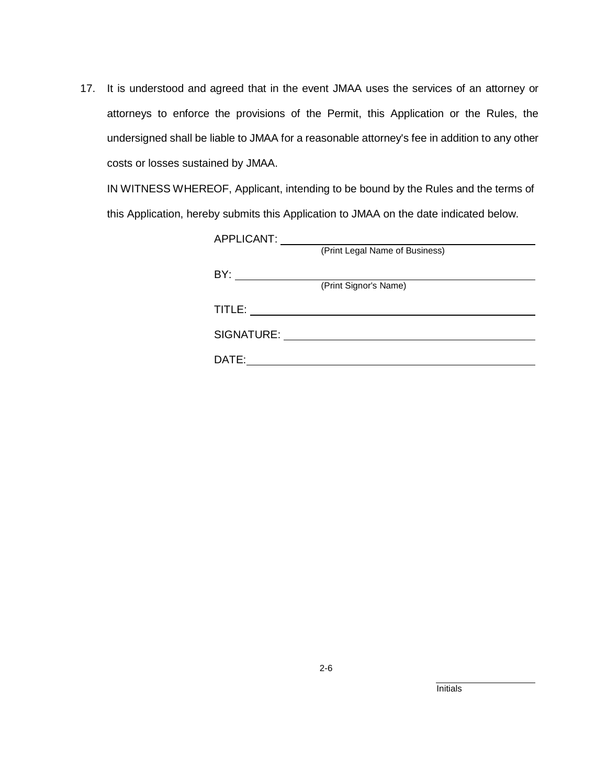17. It is understood and agreed that in the event JMAA uses the services of an attorney or attorneys to enforce the provisions of the Permit, this Application or the Rules, the undersigned shall be liable to JMAA for a reasonable attorney's fee in addition to any other costs or losses sustained by JMAA.

IN WITNESS WHEREOF, Applicant, intending to be bound by the Rules and the terms of this Application, hereby submits this Application to JMAA on the date indicated below.

| APPLICANT: |                                |
|------------|--------------------------------|
|            | (Print Legal Name of Business) |
| BY:        |                                |
|            | (Print Signor's Name)          |
| TITLE:     |                                |
| SIGNATURE: |                                |
| DATE:      |                                |
|            |                                |

2-6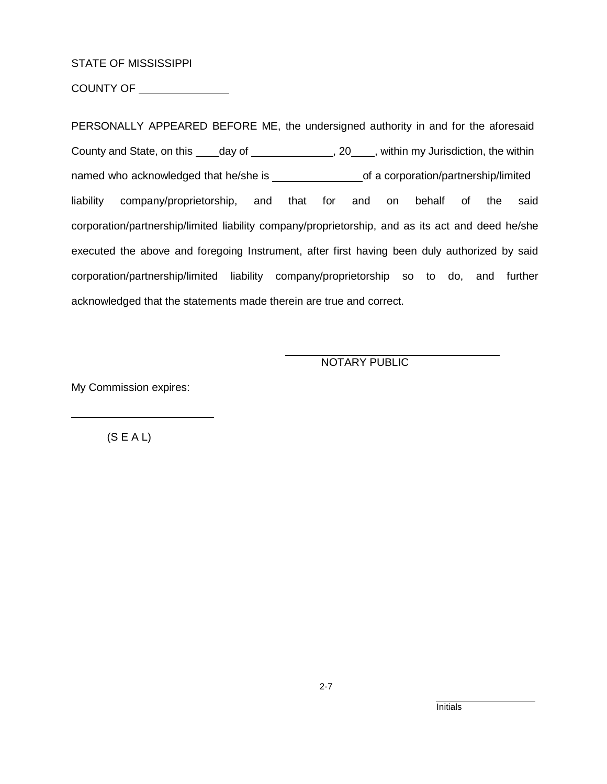#### STATE OF MISSISSIPPI

COUNTY OF \_\_\_\_\_\_\_\_\_\_\_\_\_\_\_

PERSONALLY APPEARED BEFORE ME, the undersigned authority in and for the aforesaid County and State, on this \_\_\_\_day of \_\_\_\_\_\_\_\_\_\_\_\_\_\_, 20\_\_\_\_, within my Jurisdiction, the within named who acknowledged that he/she is \_\_\_\_\_\_\_\_\_\_\_\_\_\_\_\_\_\_\_\_\_\_of a corporation/partnership/limited liability company/proprietorship, and that for and on behalf of the said corporation/partnership/limited liability company/proprietorship, and as its act and deed he/she executed the above and foregoing Instrument, after first having been duly authorized by said corporation/partnership/limited liability company/proprietorship so to do, and further acknowledged that the statements made therein are true and correct.

NOTARY PUBLIC

My Commission expires:

 $(S E A L)$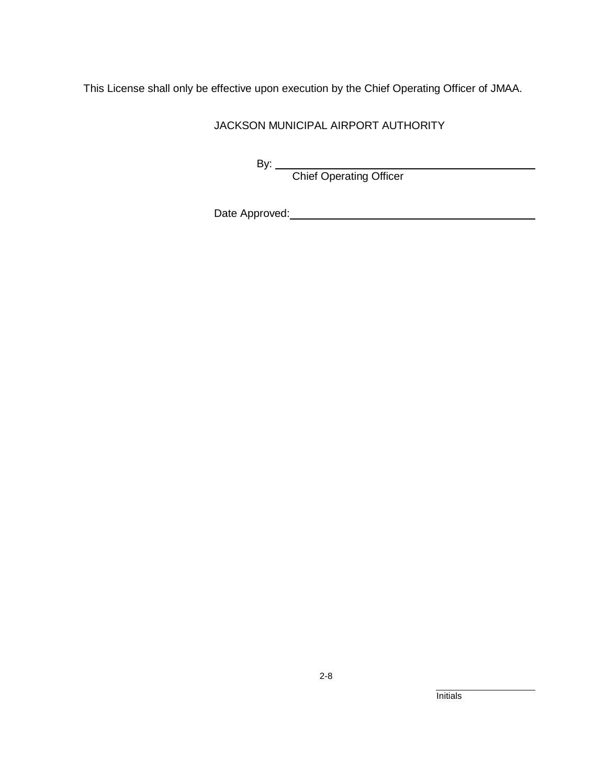This License shall only be effective upon execution by the Chief Operating Officer of JMAA.

JACKSON MUNICIPAL AIRPORT AUTHORITY

By: Chief Operating Officer

Date Approved: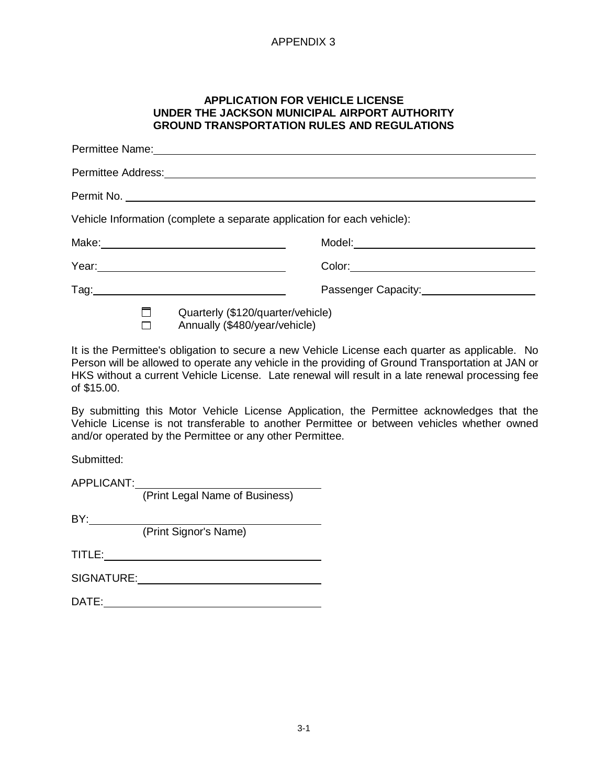#### **APPLICATION FOR VEHICLE LICENSE UNDER THE JACKSON MUNICIPAL AIRPORT AUTHORITY GROUND TRANSPORTATION RULES AND REGULATIONS**

| Vehicle Information (complete a separate application for each vehicle):                                        |  |  |  |  |
|----------------------------------------------------------------------------------------------------------------|--|--|--|--|
|                                                                                                                |  |  |  |  |
| Year: 1999 - 1999 - 1999 - 1999 - 1999 - 1999 - 1999 - 1999 - 1999 - 1999 - 1999 - 1999 - 1999 - 1999 - 1999 - |  |  |  |  |
|                                                                                                                |  |  |  |  |
| Quarterly (\$120/quarter/vehicle)<br>Annually (\$480/year/vehicle)                                             |  |  |  |  |

It is the Permittee's obligation to secure a new Vehicle License each quarter as applicable. No Person will be allowed to operate any vehicle in the providing of Ground Transportation at JAN or HKS without a current Vehicle License. Late renewal will result in a late renewal processing fee of \$15.00.

By submitting this Motor Vehicle License Application, the Permittee acknowledges that the Vehicle License is not transferable to another Permittee or between vehicles whether owned and/or operated by the Permittee or any other Permittee.

Submitted:

APPLICANT: (Print Legal Name of Business)

BY:

(Print Signor's Name)

TITLE:

SIGNATURE:

DATE: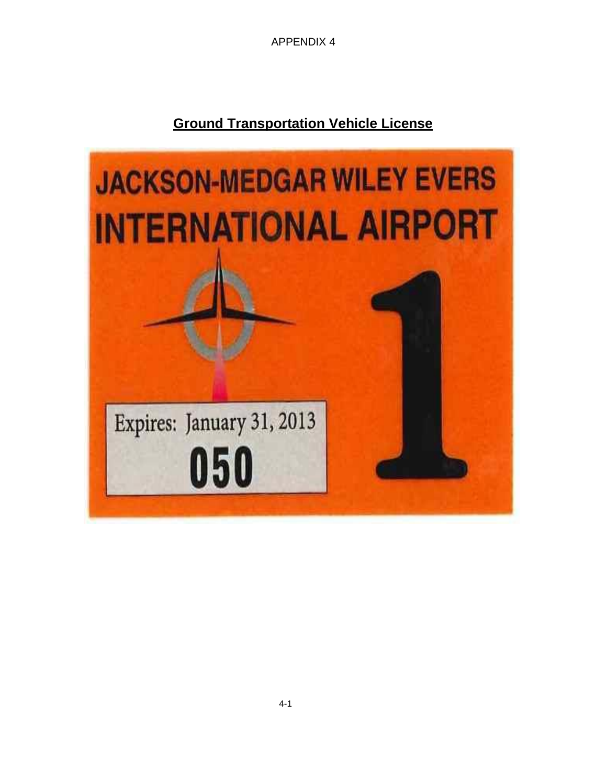## **Ground Transportation Vehicle License**